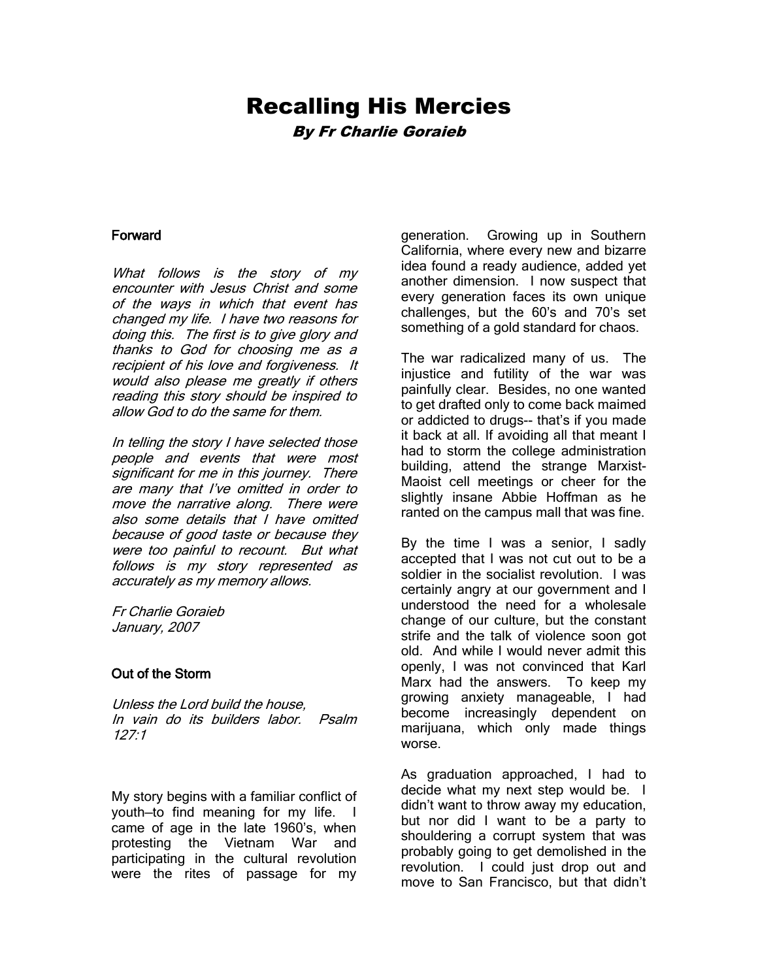# Recalling His Mercies By Fr Charlie Goraieb

#### Forward

What follows is the story of my encounter with Jesus Christ and some of the ways in which that event has changed my life. I have two reasons for doing this. The first is to give glory and thanks to God for choosing me as a recipient of his love and forgiveness. It would also please me greatly if others reading this story should be inspired to allow God to do the same for them.

In telling the story I have selected those people and events that were most significant for me in this journey. There are many that I've omitted in order to move the narrative along. There were also some details that I have omitted because of good taste or because they were too painful to recount. But what follows is my story represented as accurately as my memory allows.

Fr Charlie Goraieb January, 2007

#### Out of the Storm

Unless the Lord build the house, In vain do its builders labor. Psalm  $127.1$ 

My story begins with a familiar conflict of youth—to find meaning for my life. I came of age in the late 1960's, when protesting the Vietnam War and participating in the cultural revolution were the rites of passage for my generation. Growing up in Southern California, where every new and bizarre idea found a ready audience, added yet another dimension. I now suspect that every generation faces its own unique challenges, but the 60's and 70's set something of a gold standard for chaos.

The war radicalized many of us. The injustice and futility of the war was painfully clear. Besides, no one wanted to get drafted only to come back maimed or addicted to drugs-- that's if you made it back at all. If avoiding all that meant I had to storm the college administration building, attend the strange Marxist-Maoist cell meetings or cheer for the slightly insane Abbie Hoffman as he ranted on the campus mall that was fine.

By the time I was a senior, I sadly accepted that I was not cut out to be a soldier in the socialist revolution. I was certainly angry at our government and I understood the need for a wholesale change of our culture, but the constant strife and the talk of violence soon got old. And while I would never admit this openly, I was not convinced that Karl Marx had the answers. To keep my growing anxiety manageable, I had become increasingly dependent on marijuana, which only made things worse.

As graduation approached, I had to decide what my next step would be. I didn't want to throw away my education, but nor did I want to be a party to shouldering a corrupt system that was probably going to get demolished in the revolution. I could just drop out and move to San Francisco, but that didn't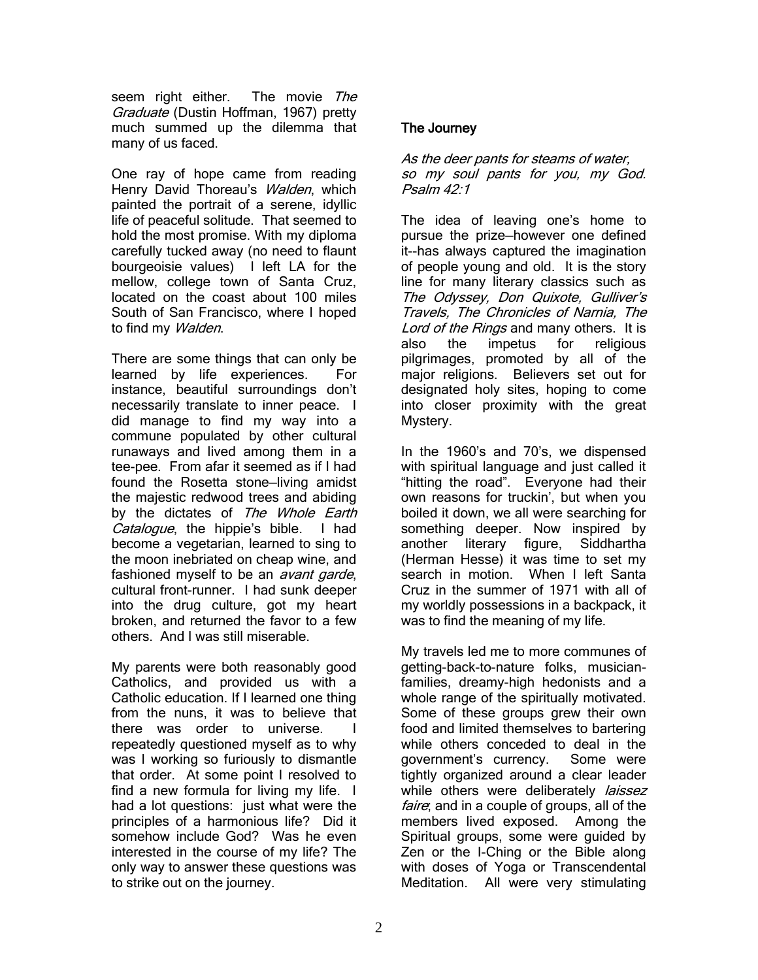seem right either. The movie The Graduate (Dustin Hoffman, 1967) pretty much summed up the dilemma that many of us faced.

One ray of hope came from reading Henry David Thoreau's *Walden*, which painted the portrait of a serene, idyllic life of peaceful solitude. That seemed to hold the most promise. With my diploma carefully tucked away (no need to flaunt bourgeoisie values) I left LA for the mellow, college town of Santa Cruz, located on the coast about 100 miles South of San Francisco, where I hoped to find my Walden.

There are some things that can only be learned by life experiences. For instance, beautiful surroundings don't necessarily translate to inner peace. I did manage to find my way into a commune populated by other cultural runaways and lived among them in a tee-pee. From afar it seemed as if I had found the Rosetta stone—living amidst the majestic redwood trees and abiding by the dictates of The Whole Earth Catalogue, the hippie's bible. I had become a vegetarian, learned to sing to the moon inebriated on cheap wine, and fashioned myself to be an *avant garde*, cultural front-runner. I had sunk deeper into the drug culture, got my heart broken, and returned the favor to a few others. And I was still miserable.

My parents were both reasonably good Catholics, and provided us with a Catholic education. If I learned one thing from the nuns, it was to believe that there was order to universe. I repeatedly questioned myself as to why was I working so furiously to dismantle that order. At some point I resolved to find a new formula for living my life. I had a lot questions: just what were the principles of a harmonious life? Did it somehow include God? Was he even interested in the course of my life? The only way to answer these questions was to strike out on the journey.

## The Journey

As the deer pants for steams of water. so my soul pants for you, my God. Psalm 42:1

The idea of leaving one's home to pursue the prize—however one defined it--has always captured the imagination of people young and old. It is the story line for many literary classics such as The Odyssey, Don Quixote, Gulliver's Travels, The Chronicles of Narnia, The Lord of the Rings and many others. It is also the impetus for religious pilgrimages, promoted by all of the major religions. Believers set out for designated holy sites, hoping to come into closer proximity with the great Mystery.

In the 1960's and 70's, we dispensed with spiritual language and just called it "hitting the road". Everyone had their own reasons for truckin', but when you boiled it down, we all were searching for something deeper. Now inspired by another literary figure, Siddhartha (Herman Hesse) it was time to set my search in motion. When I left Santa Cruz in the summer of 1971 with all of my worldly possessions in a backpack, it was to find the meaning of my life.

My travels led me to more communes of getting-back-to-nature folks, musicianfamilies, dreamy-high hedonists and a whole range of the spiritually motivated. Some of these groups grew their own food and limited themselves to bartering while others conceded to deal in the government's currency. Some were tightly organized around a clear leader while others were deliberately *laissez* faire; and in a couple of groups, all of the members lived exposed. Among the Spiritual groups, some were guided by Zen or the I-Ching or the Bible along with doses of Yoga or Transcendental Meditation. All were very stimulating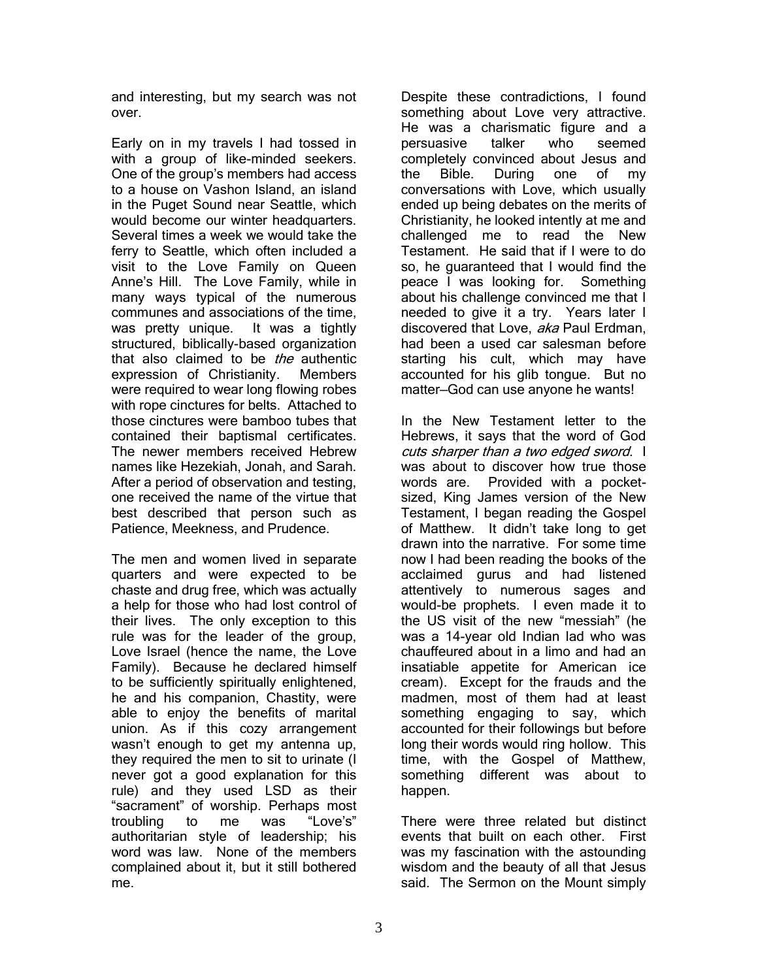and interesting, but my search was not over.

Early on in my travels I had tossed in with a group of like-minded seekers. One of the group's members had access to a house on Vashon Island, an island in the Puget Sound near Seattle, which would become our winter headquarters. Several times a week we would take the ferry to Seattle, which often included a visit to the Love Family on Queen Anne's Hill. The Love Family, while in many ways typical of the numerous communes and associations of the time, was pretty unique. It was a tightly structured, biblically-based organization that also claimed to be the authentic expression of Christianity. Members were required to wear long flowing robes with rope cinctures for belts. Attached to those cinctures were bamboo tubes that contained their baptismal certificates. The newer members received Hebrew names like Hezekiah, Jonah, and Sarah. After a period of observation and testing, one received the name of the virtue that best described that person such as Patience, Meekness, and Prudence.

The men and women lived in separate quarters and were expected to be chaste and drug free, which was actually a help for those who had lost control of their lives. The only exception to this rule was for the leader of the group, Love Israel (hence the name, the Love Family). Because he declared himself to be sufficiently spiritually enlightened, he and his companion, Chastity, were able to enjoy the benefits of marital union. As if this cozy arrangement wasn't enough to get my antenna up, they required the men to sit to urinate (I never got a good explanation for this rule) and they used LSD as their "sacrament" of worship. Perhaps most troubling to me was "Love's" authoritarian style of leadership; his word was law. None of the members complained about it, but it still bothered me.

Despite these contradictions, I found something about Love very attractive. He was a charismatic figure and a persuasive talker who seemed completely convinced about Jesus and the Bible. During one of my conversations with Love, which usually ended up being debates on the merits of Christianity, he looked intently at me and challenged me to read the New Testament. He said that if I were to do so, he guaranteed that I would find the peace I was looking for. Something about his challenge convinced me that I needed to give it a try. Years later I discovered that Love, aka Paul Erdman, had been a used car salesman before starting his cult, which may have accounted for his glib tongue. But no matter—God can use anyone he wants!

In the New Testament letter to the Hebrews, it says that the word of God cuts sharper than a two edged sword. I was about to discover how true those words are. Provided with a pocketsized, King James version of the New Testament, I began reading the Gospel of Matthew. It didn't take long to get drawn into the narrative. For some time now I had been reading the books of the acclaimed gurus and had listened attentively to numerous sages and would-be prophets. I even made it to the US visit of the new "messiah" (he was a 14-year old Indian lad who was chauffeured about in a limo and had an insatiable appetite for American ice cream). Except for the frauds and the madmen, most of them had at least something engaging to say, which accounted for their followings but before long their words would ring hollow. This time, with the Gospel of Matthew, something different was about to happen.

There were three related but distinct events that built on each other. First was my fascination with the astounding wisdom and the beauty of all that Jesus said. The Sermon on the Mount simply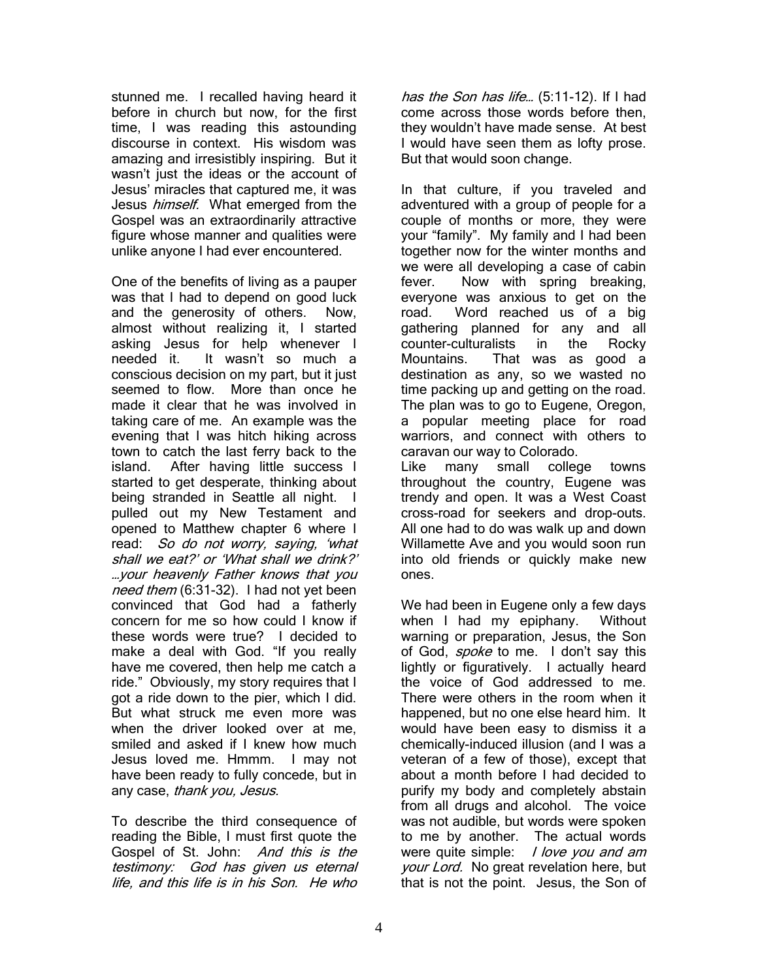stunned me. I recalled having heard it before in church but now, for the first time, I was reading this astounding discourse in context. His wisdom was amazing and irresistibly inspiring. But it wasn't just the ideas or the account of Jesus' miracles that captured me, it was Jesus *himself.* What emerged from the Gospel was an extraordinarily attractive figure whose manner and qualities were unlike anyone I had ever encountered.

One of the benefits of living as a pauper was that I had to depend on good luck and the generosity of others. Now, almost without realizing it, I started asking Jesus for help whenever I needed it. It wasn't so much a conscious decision on my part, but it just seemed to flow. More than once he made it clear that he was involved in taking care of me. An example was the evening that I was hitch hiking across town to catch the last ferry back to the island. After having little success I started to get desperate, thinking about being stranded in Seattle all night. I pulled out my New Testament and opened to Matthew chapter 6 where I read: So do not worry, saying, 'what shall we eat?' or 'What shall we drink?' …you<sup>r</sup> heavenly Father knows that you need them (6:31-32). I had not yet been convinced that God had a fatherly concern for me so how could I know if these words were true? I decided to make a deal with God. "If you really have me covered, then help me catch a ride." Obviously, my story requires that I got a ride down to the pier, which I did. But what struck me even more was when the driver looked over at me. smiled and asked if I knew how much Jesus loved me. Hmmm. I may not have been ready to fully concede, but in any case, thank you, Jesus.

To describe the third consequence of reading the Bible, I must first quote the Gospel of St. John: And this is the testimony: God has given us eternal life, and this life is in his Son. He who

has the Son has life... (5:11-12). If I had come across those words before then, they wouldn't have made sense. At best I would have seen them as lofty prose. But that would soon change.

In that culture, if you traveled and adventured with a group of people for a couple of months or more, they were your "family". My family and I had been together now for the winter months and we were all developing a case of cabin fever. Now with spring breaking, everyone was anxious to get on the road. Word reached us of a big gathering planned for any and all counter-culturalists in the Rocky Mountains. That was as good a destination as any, so we wasted no time packing up and getting on the road. The plan was to go to Eugene, Oregon, a popular meeting place for road warriors, and connect with others to caravan our way to Colorado.

Like many small college towns throughout the country, Eugene was trendy and open. It was a West Coast cross-road for seekers and drop-outs. All one had to do was walk up and down Willamette Ave and you would soon run into old friends or quickly make new ones.

We had been in Eugene only a few days when I had my epiphany. Without warning or preparation, Jesus, the Son of God, *spoke* to me. I don't say this lightly or figuratively. I actually heard the voice of God addressed to me. There were others in the room when it happened, but no one else heard him. It would have been easy to dismiss it a chemically-induced illusion (and I was a veteran of a few of those), except that about a month before I had decided to purify my body and completely abstain from all drugs and alcohol. The voice was not audible, but words were spoken to me by another. The actual words were quite simple: *I love you and am* your Lord. No great revelation here, but that is not the point. Jesus, the Son of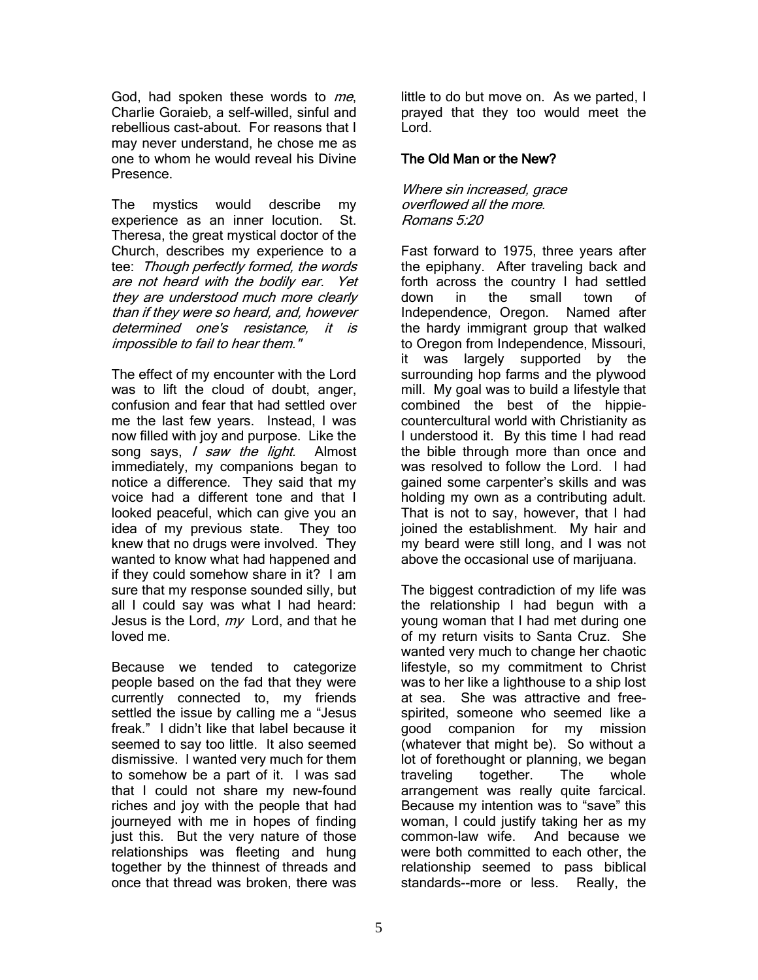God, had spoken these words to me, Charlie Goraieb, a self-willed, sinful and rebellious cast-about. For reasons that I may never understand, he chose me as one to whom he would reveal his Divine Presence.

The mystics would describe my experience as an inner locution. St. Theresa, the great mystical doctor of the Church, describes my experience to a tee: Though perfectly formed, the words are not heard with the bodily ear. Yet they are understood much more clearly than if they were so heard, and, however determined one's resistance, it is impossible to fail to hear them."

The effect of my encounter with the Lord was to lift the cloud of doubt, anger, confusion and fear that had settled over me the last few years. Instead, I was now filled with joy and purpose. Like the song says, I saw the light. Almost immediately, my companions began to notice a difference. They said that my voice had a different tone and that I looked peaceful, which can give you an idea of my previous state. They too knew that no drugs were involved. They wanted to know what had happened and if they could somehow share in it? I am sure that my response sounded silly, but all I could say was what I had heard: Jesus is the Lord,  $m\gamma$  Lord, and that he loved me.

Because we tended to categorize people based on the fad that they were currently connected to, my friends settled the issue by calling me a "Jesus freak." I didn't like that label because it seemed to say too little. It also seemed dismissive. I wanted very much for them to somehow be a part of it. I was sad that I could not share my new-found riches and joy with the people that had journeyed with me in hopes of finding just this. But the very nature of those relationships was fleeting and hung together by the thinnest of threads and once that thread was broken, there was

little to do but move on. As we parted, I prayed that they too would meet the Lord.

### The Old Man or the New?

Where sin increased, grace overflowed all the more. Romans 5:20

Fast forward to 1975, three years after the epiphany. After traveling back and forth across the country I had settled down in the small town of Independence, Oregon. Named after the hardy immigrant group that walked to Oregon from Independence, Missouri, it was largely supported by the surrounding hop farms and the plywood mill. My goal was to build a lifestyle that combined the best of the hippiecountercultural world with Christianity as I understood it. By this time I had read the bible through more than once and was resolved to follow the Lord. I had gained some carpenter's skills and was holding my own as a contributing adult. That is not to say, however, that I had joined the establishment. My hair and my beard were still long, and I was not above the occasional use of marijuana.

The biggest contradiction of my life was the relationship I had begun with a young woman that I had met during one of my return visits to Santa Cruz. She wanted very much to change her chaotic lifestyle, so my commitment to Christ was to her like a lighthouse to a ship lost at sea. She was attractive and freespirited, someone who seemed like a good companion for my mission (whatever that might be). So without a lot of forethought or planning, we began traveling together. The whole arrangement was really quite farcical. Because my intention was to "save" this woman, I could justify taking her as my common-law wife. And because we were both committed to each other, the relationship seemed to pass biblical standards--more or less. Really, the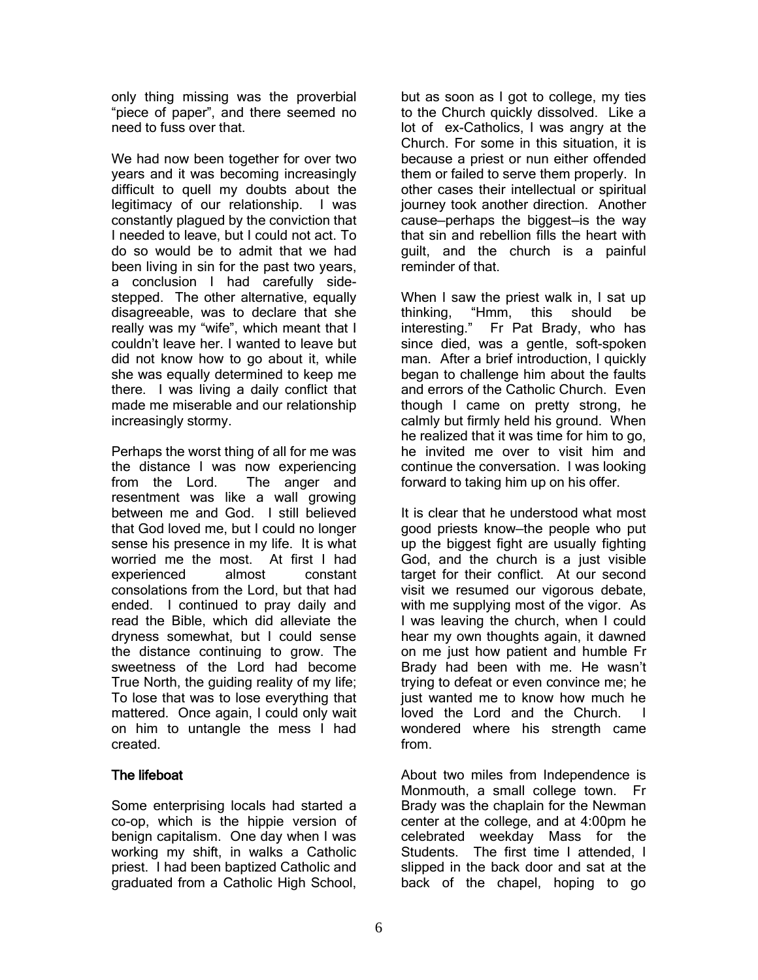only thing missing was the proverbial "piece of paper", and there seemed no need to fuss over that.

We had now been together for over two years and it was becoming increasingly difficult to quell my doubts about the legitimacy of our relationship. I was constantly plagued by the conviction that I needed to leave, but I could not act. To do so would be to admit that we had been living in sin for the past two years, a conclusion I had carefully sidestepped. The other alternative, equally disagreeable, was to declare that she really was my "wife", which meant that I couldn't leave her. I wanted to leave but did not know how to go about it, while she was equally determined to keep me there. I was living a daily conflict that made me miserable and our relationship increasingly stormy.

Perhaps the worst thing of all for me was the distance I was now experiencing from the Lord. The anger and resentment was like a wall growing between me and God. I still believed that God loved me, but I could no longer sense his presence in my life. It is what worried me the most. At first I had experienced almost constant consolations from the Lord, but that had ended. I continued to pray daily and read the Bible, which did alleviate the dryness somewhat, but I could sense the distance continuing to grow. The sweetness of the Lord had become True North, the guiding reality of my life; To lose that was to lose everything that mattered. Once again, I could only wait on him to untangle the mess I had created.

## The lifeboat

Some enterprising locals had started a co-op, which is the hippie version of benign capitalism. One day when I was working my shift, in walks a Catholic priest. I had been baptized Catholic and graduated from a Catholic High School,

but as soon as I got to college, my ties to the Church quickly dissolved. Like a lot of ex-Catholics, I was angry at the Church. For some in this situation, it is because a priest or nun either offended them or failed to serve them properly. In other cases their intellectual or spiritual journey took another direction. Another cause—perhaps the biggest—is the way that sin and rebellion fills the heart with guilt, and the church is a painful reminder of that.

When I saw the priest walk in, I sat up thinking, "Hmm, this should be interesting." Fr Pat Brady, who has since died, was a gentle, soft-spoken man. After a brief introduction, I quickly began to challenge him about the faults and errors of the Catholic Church. Even though I came on pretty strong, he calmly but firmly held his ground. When he realized that it was time for him to go, he invited me over to visit him and continue the conversation. I was looking forward to taking him up on his offer.

It is clear that he understood what most good priests know—the people who put up the biggest fight are usually fighting God, and the church is a just visible target for their conflict. At our second visit we resumed our vigorous debate, with me supplying most of the vigor. As I was leaving the church, when I could hear my own thoughts again, it dawned on me just how patient and humble Fr Brady had been with me. He wasn't trying to defeat or even convince me; he just wanted me to know how much he loved the Lord and the Church. I wondered where his strength came from.

About two miles from Independence is Monmouth, a small college town. Fr Brady was the chaplain for the Newman center at the college, and at 4:00pm he celebrated weekday Mass for the Students. The first time I attended, I slipped in the back door and sat at the back of the chapel, hoping to go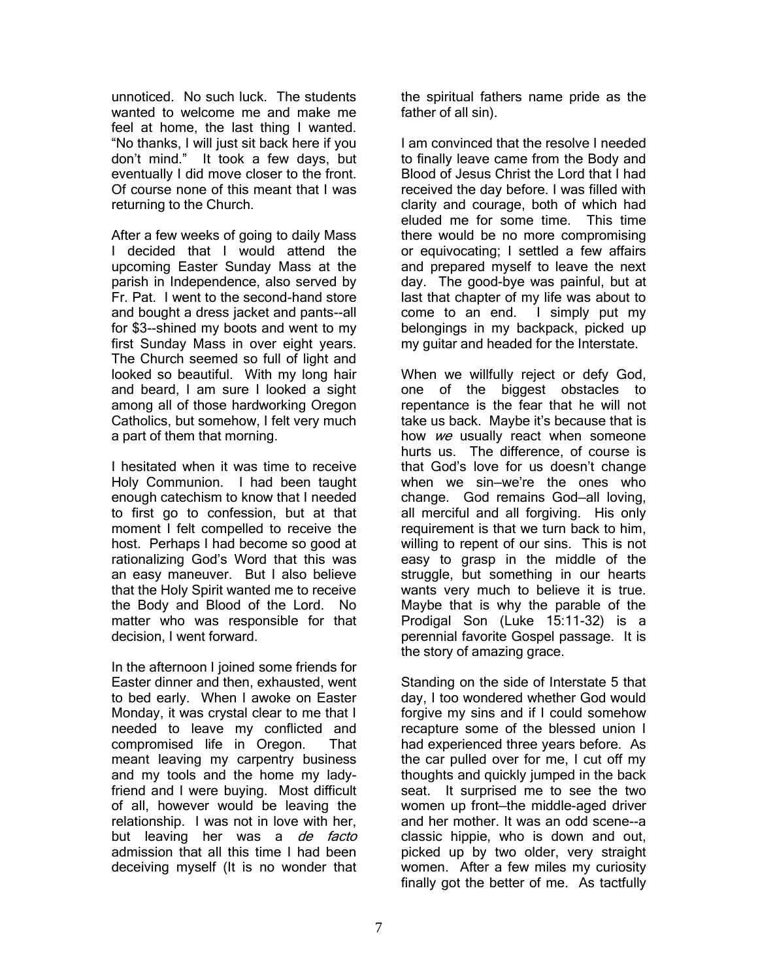unnoticed. No such luck. The students wanted to welcome me and make me feel at home, the last thing I wanted. "No thanks, I will just sit back here if you don't mind." It took a few days, but eventually I did move closer to the front. Of course none of this meant that I was returning to the Church.

After a few weeks of going to daily Mass I decided that I would attend the upcoming Easter Sunday Mass at the parish in Independence, also served by Fr. Pat. I went to the second-hand store and bought a dress jacket and pants--all for \$3--shined my boots and went to my first Sunday Mass in over eight years. The Church seemed so full of light and looked so beautiful. With my long hair and beard, I am sure I looked a sight among all of those hardworking Oregon Catholics, but somehow, I felt very much a part of them that morning.

I hesitated when it was time to receive Holy Communion. I had been taught enough catechism to know that I needed to first go to confession, but at that moment I felt compelled to receive the host. Perhaps I had become so good at rationalizing God's Word that this was an easy maneuver. But I also believe that the Holy Spirit wanted me to receive the Body and Blood of the Lord. No matter who was responsible for that decision, I went forward.

In the afternoon I joined some friends for Easter dinner and then, exhausted, went to bed early. When I awoke on Easter Monday, it was crystal clear to me that I needed to leave my conflicted and compromised life in Oregon. That meant leaving my carpentry business and my tools and the home my ladyfriend and I were buying. Most difficult of all, however would be leaving the relationship. I was not in love with her, but leaving her was a de facto admission that all this time I had been deceiving myself (It is no wonder that the spiritual fathers name pride as the father of all sin).

I am convinced that the resolve I needed to finally leave came from the Body and Blood of Jesus Christ the Lord that I had received the day before. I was filled with clarity and courage, both of which had eluded me for some time. This time there would be no more compromising or equivocating; I settled a few affairs and prepared myself to leave the next day. The good-bye was painful, but at last that chapter of my life was about to come to an end. I simply put my belongings in my backpack, picked up my guitar and headed for the Interstate.

When we willfully reject or defy God, one of the biggest obstacles to repentance is the fear that he will not take us back. Maybe it's because that is how we usually react when someone hurts us. The difference, of course is that God's love for us doesn't change when we sin—we're the ones who change. God remains God—all loving, all merciful and all forgiving. His only requirement is that we turn back to him, willing to repent of our sins. This is not easy to grasp in the middle of the struggle, but something in our hearts wants very much to believe it is true. Maybe that is why the parable of the Prodigal Son (Luke 15:11-32) is a perennial favorite Gospel passage. It is the story of amazing grace.

Standing on the side of Interstate 5 that day, I too wondered whether God would forgive my sins and if I could somehow recapture some of the blessed union I had experienced three years before. As the car pulled over for me, I cut off my thoughts and quickly jumped in the back seat. It surprised me to see the two women up front—the middle-aged driver and her mother. It was an odd scene--a classic hippie, who is down and out, picked up by two older, very straight women. After a few miles my curiosity finally got the better of me. As tactfully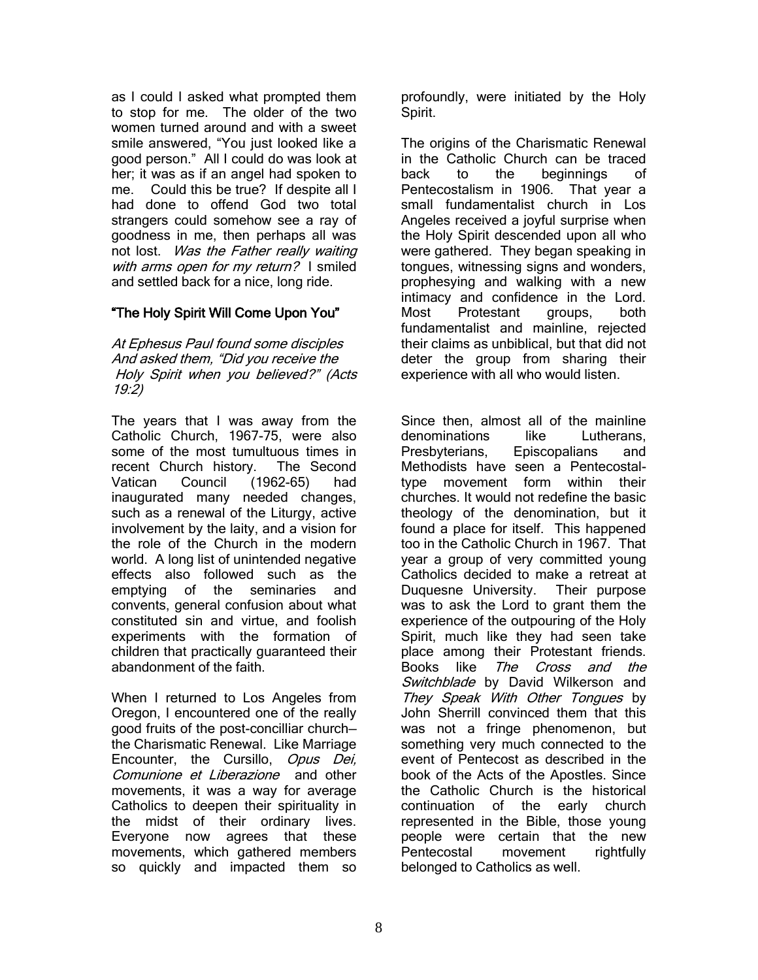as I could I asked what prompted them to stop for me. The older of the two women turned around and with a sweet smile answered, "You just looked like a good person." All I could do was look at her; it was as if an angel had spoken to me. Could this be true? If despite all I had done to offend God two total strangers could somehow see a ray of goodness in me, then perhaps all was not lost. Was the Father really waiting with arms open for my return? I smiled and settled back for a nice, long ride.

## "The Holy Spirit Will Come Upon You"

At Ephesus Paul found some disciples And asked them, "Did you receive the Holy Spirit when you believed?" (Acts 19:2)

The years that I was away from the Catholic Church, 1967-75, were also some of the most tumultuous times in recent Church history. The Second Vatican Council (1962-65) had inaugurated many needed changes, such as a renewal of the Liturgy, active involvement by the laity, and a vision for the role of the Church in the modern world. A long list of unintended negative effects also followed such as the emptying of the seminaries and convents, general confusion about what constituted sin and virtue, and foolish experiments with the formation of children that practically guaranteed their abandonment of the faith.

When I returned to Los Angeles from Oregon, I encountered one of the really good fruits of the post-concilliar church the Charismatic Renewal. Like Marriage Encounter, the Cursillo, Opus Dei, Comunione et Liberazione and other movements, it was a way for average Catholics to deepen their spirituality in the midst of their ordinary lives. Everyone now agrees that these movements, which gathered members so quickly and impacted them so

profoundly, were initiated by the Holy Spirit.

The origins of the Charismatic Renewal in the Catholic Church can be traced back to the beginnings of Pentecostalism in 1906. That year a small fundamentalist church in Los Angeles received a joyful surprise when the Holy Spirit descended upon all who were gathered. They began speaking in tongues, witnessing signs and wonders, prophesying and walking with a new intimacy and confidence in the Lord. Most Protestant groups, both fundamentalist and mainline, rejected their claims as unbiblical, but that did not deter the group from sharing their experience with all who would listen.

Since then, almost all of the mainline denominations like Lutherans, Presbyterians, Episcopalians and Methodists have seen a Pentecostaltype movement form within their churches. It would not redefine the basic theology of the denomination, but it found a place for itself. This happened too in the Catholic Church in 1967. That year a group of very committed young Catholics decided to make a retreat at Duquesne University. Their purpose was to ask the Lord to grant them the experience of the outpouring of the Holy Spirit, much like they had seen take place among their Protestant friends. Books like The Cross and the Switchblade by David Wilkerson and They Speak With Other Tongues by John Sherrill convinced them that this was not a fringe phenomenon, but something very much connected to the event of Pentecost as described in the book of the Acts of the Apostles. Since the Catholic Church is the historical continuation of the early church represented in the Bible, those young people were certain that the new Pentecostal movement rightfully belonged to Catholics as well.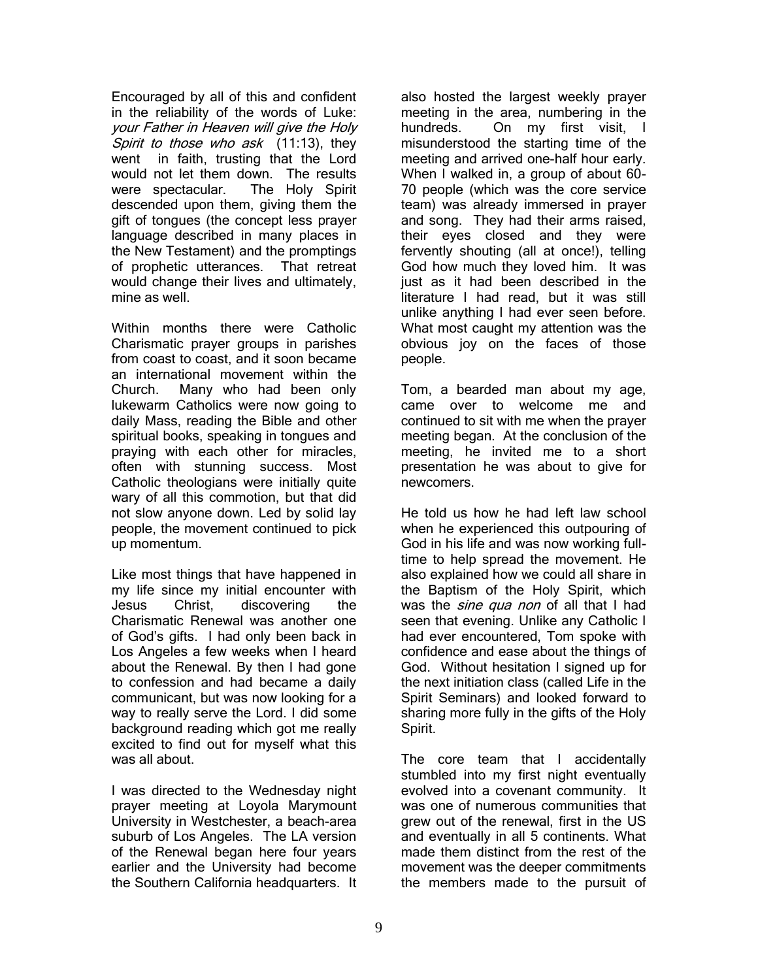Encouraged by all of this and confident in the reliability of the words of Luke: your Father in Heaven will give the Holy Spirit to those who ask (11:13), they went in faith, trusting that the Lord would not let them down. The results were spectacular. The Holy Spirit descended upon them, giving them the gift of tongues (the concept less prayer language described in many places in the New Testament) and the promptings of prophetic utterances. That retreat would change their lives and ultimately, mine as well.

Within months there were Catholic Charismatic prayer groups in parishes from coast to coast, and it soon became an international movement within the Church. Many who had been only lukewarm Catholics were now going to daily Mass, reading the Bible and other spiritual books, speaking in tongues and praying with each other for miracles, often with stunning success. Most Catholic theologians were initially quite wary of all this commotion, but that did not slow anyone down. Led by solid lay people, the movement continued to pick up momentum.

Like most things that have happened in my life since my initial encounter with Jesus Christ, discovering the Charismatic Renewal was another one of God's gifts. I had only been back in Los Angeles a few weeks when I heard about the Renewal. By then I had gone to confession and had became a daily communicant, but was now looking for a way to really serve the Lord. I did some background reading which got me really excited to find out for myself what this was all about.

I was directed to the Wednesday night prayer meeting at Loyola Marymount University in Westchester, a beach-area suburb of Los Angeles. The LA version of the Renewal began here four years earlier and the University had become the Southern California headquarters. It also hosted the largest weekly prayer meeting in the area, numbering in the hundreds. On my first visit, I misunderstood the starting time of the meeting and arrived one-half hour early. When I walked in, a group of about 60- 70 people (which was the core service team) was already immersed in prayer and song. They had their arms raised, their eyes closed and they were fervently shouting (all at once!), telling God how much they loved him. It was just as it had been described in the literature I had read, but it was still unlike anything I had ever seen before. What most caught my attention was the obvious joy on the faces of those people.

Tom, a bearded man about my age, came over to welcome me and continued to sit with me when the prayer meeting began. At the conclusion of the meeting, he invited me to a short presentation he was about to give for newcomers.

He told us how he had left law school when he experienced this outpouring of God in his life and was now working fulltime to help spread the movement. He also explained how we could all share in the Baptism of the Holy Spirit, which was the *sine qua non* of all that I had seen that evening. Unlike any Catholic I had ever encountered, Tom spoke with confidence and ease about the things of God. Without hesitation I signed up for the next initiation class (called Life in the Spirit Seminars) and looked forward to sharing more fully in the gifts of the Holy Spirit.

The core team that I accidentally stumbled into my first night eventually evolved into a covenant community. It was one of numerous communities that grew out of the renewal, first in the US and eventually in all 5 continents. What made them distinct from the rest of the movement was the deeper commitments the members made to the pursuit of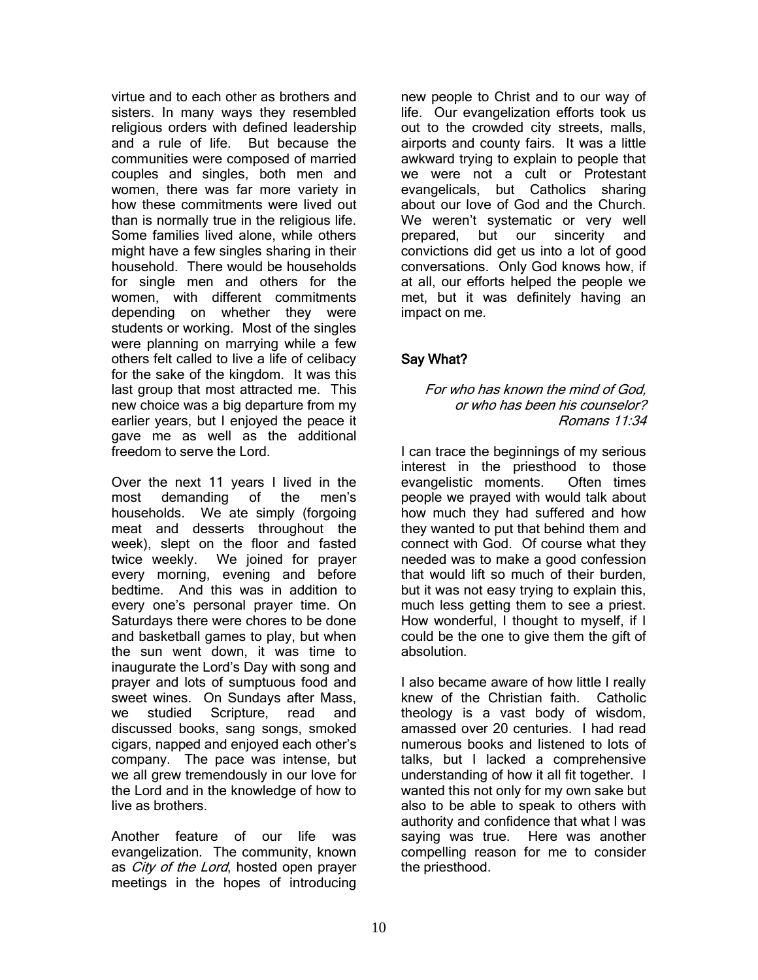virtue and to each other as brothers and sisters. In many ways they resembled religious orders with defined leadership and a rule of life. But because the communities were composed of married couples and singles, both men and women, there was far more variety in how these commitments were lived out than is normally true in the religious life. Some families lived alone, while others might have a few singles sharing in their household. There would be households for single men and others for the women, with different commitments depending on whether they were students or working. Most of the singles were planning on marrying while a few others felt called to live a life of celibacy for the sake of the kingdom. It was this last group that most attracted me. This new choice was a big departure from my earlier years, but I enjoyed the peace it gave me as well as the additional freedom to serve the Lord.

Over the next 11 years I lived in the most demanding of the men's households. We ate simply (forgoing meat and desserts throughout the week), slept on the floor and fasted twice weekly. We joined for prayer every morning, evening and before bedtime. And this was in addition to every one's personal prayer time. On Saturdays there were chores to be done and basketball games to play, but when the sun went down, it was time to inaugurate the Lord's Day with song and prayer and lots of sumptuous food and sweet wines. On Sundays after Mass, we studied Scripture, read and discussed books, sang songs, smoked cigars, napped and enjoyed each other's company. The pace was intense, but we all grew tremendously in our love for the Lord and in the knowledge of how to live as brothers.

Another feature of our life was evangelization. The community, known as *City of the Lord*, hosted open prayer meetings in the hopes of introducing new people to Christ and to our way of life. Our evangelization efforts took us out to the crowded city streets, malls, airports and county fairs. It was a little awkward trying to explain to people that we were not a cult or Protestant evangelicals, but Catholics sharing about our love of God and the Church. We weren't systematic or very well prepared, but our sincerity and convictions did get us into a lot of good conversations. Only God knows how, if at all, our efforts helped the people we met, but it was definitely having an impact on me.

# Say What?

#### For who has known the mind of God, or who has been his counselor? Romans 11:34

I can trace the beginnings of my serious interest in the priesthood to those evangelistic moments. Often times people we prayed with would talk about how much they had suffered and how they wanted to put that behind them and connect with God. Of course what they needed was to make a good confession that would lift so much of their burden, but it was not easy trying to explain this, much less getting them to see a priest. How wonderful, I thought to myself, if I could be the one to give them the gift of absolution.

I also became aware of how little I really knew of the Christian faith. Catholic theology is a vast body of wisdom, amassed over 20 centuries. I had read numerous books and listened to lots of talks, but I lacked a comprehensive understanding of how it all fit together. I wanted this not only for my own sake but also to be able to speak to others with authority and confidence that what I was saying was true. Here was another compelling reason for me to consider the priesthood.